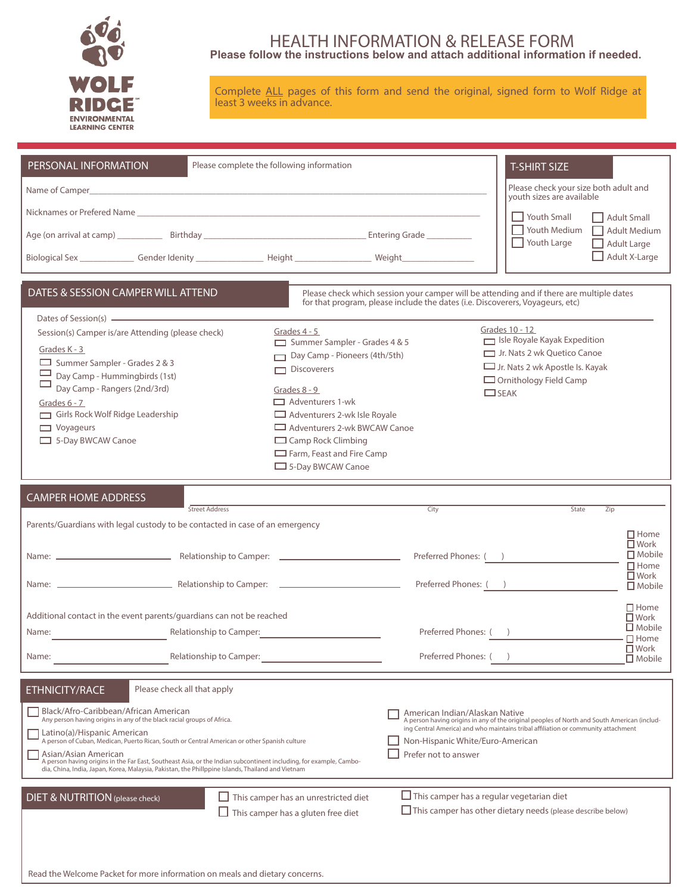

### HEALTH INFORMATION & RELEASE FORM **Please follow the instructions below and attach additional information if needed.**

Complete ALL pages of this form and send the original, signed form to Wolf Ridge at least 3 weeks in advance.

| PERSONAL INFORMATION                                                                                                                                                                                                                                                                                                                                                                                                                                                                                                                                                                         | Please complete the following information                                                                                                                                                                                                                                               |                                                                                                                                                                           | <b>T-SHIRT SIZE</b>                                                                                                                                                                                                                                    |                                                               |
|----------------------------------------------------------------------------------------------------------------------------------------------------------------------------------------------------------------------------------------------------------------------------------------------------------------------------------------------------------------------------------------------------------------------------------------------------------------------------------------------------------------------------------------------------------------------------------------------|-----------------------------------------------------------------------------------------------------------------------------------------------------------------------------------------------------------------------------------------------------------------------------------------|---------------------------------------------------------------------------------------------------------------------------------------------------------------------------|--------------------------------------------------------------------------------------------------------------------------------------------------------------------------------------------------------------------------------------------------------|---------------------------------------------------------------|
|                                                                                                                                                                                                                                                                                                                                                                                                                                                                                                                                                                                              |                                                                                                                                                                                                                                                                                         |                                                                                                                                                                           | Please check your size both adult and<br>vouth sizes are available                                                                                                                                                                                     |                                                               |
|                                                                                                                                                                                                                                                                                                                                                                                                                                                                                                                                                                                              |                                                                                                                                                                                                                                                                                         |                                                                                                                                                                           | □ Youth Small                                                                                                                                                                                                                                          | Adult Small                                                   |
|                                                                                                                                                                                                                                                                                                                                                                                                                                                                                                                                                                                              |                                                                                                                                                                                                                                                                                         |                                                                                                                                                                           | $\Box$ Youth Medium<br>Youth Large                                                                                                                                                                                                                     | Adult Medium<br><b>Adult Large</b>                            |
| Biological Sex ________________Gender Idenity _______________________Height ________________________ Weight ________________                                                                                                                                                                                                                                                                                                                                                                                                                                                                 |                                                                                                                                                                                                                                                                                         |                                                                                                                                                                           |                                                                                                                                                                                                                                                        | Adult X-Large                                                 |
|                                                                                                                                                                                                                                                                                                                                                                                                                                                                                                                                                                                              |                                                                                                                                                                                                                                                                                         |                                                                                                                                                                           |                                                                                                                                                                                                                                                        |                                                               |
| DATES & SESSION CAMPER WILL ATTEND                                                                                                                                                                                                                                                                                                                                                                                                                                                                                                                                                           |                                                                                                                                                                                                                                                                                         | Please check which session your camper will be attending and if there are multiple dates<br>for that program, please include the dates (i.e. Discoverers, Voyageurs, etc) |                                                                                                                                                                                                                                                        |                                                               |
| Dates of Session(s) <u>- and the contract of</u> the contract of Session(s) and the contract of the contract of the contract of the contract of the contract of the contract of the contract of the contract of the contract of the<br>Session(s) Camper is/are Attending (please check)<br>Grades K - 3<br>Summer Sampler - Grades 2 & 3<br>Day Camp - Hummingbirds (1st)<br>Day Camp - Rangers (2nd/3rd)<br>Grades $6 - 7$<br>Girls Rock Wolf Ridge Leadership<br>$\Box$ Voyageurs<br>5-Day BWCAW Canoe                                                                                    | Grades 4 - 5<br>Summer Sampler - Grades 4 & 5<br>Day Camp - Pioneers (4th/5th)<br>$\Box$ Discoverers<br>Grades 8 - 9<br>Adventurers 1-wk<br>Adventurers 2-wk Isle Royale<br>Adventurers 2-wk BWCAW Canoe<br>$\Box$ Camp Rock Climbing<br>Farm, Feast and Fire Camp<br>5-Day BWCAW Canoe |                                                                                                                                                                           | Grades 10 - 12<br>Isle Royale Kayak Expedition<br>Jr. Nats 2 wk Quetico Canoe<br>$\Box$ Jr. Nats 2 wk Apostle Is. Kayak<br>$\Box$ Ornithology Field Camp<br>$\Box$ SEAK                                                                                |                                                               |
| <b>CAMPER HOME ADDRESS</b><br>Street Address                                                                                                                                                                                                                                                                                                                                                                                                                                                                                                                                                 |                                                                                                                                                                                                                                                                                         | City                                                                                                                                                                      | State<br>$\overline{Zip}$                                                                                                                                                                                                                              |                                                               |
| Parents/Guardians with legal custody to be contacted in case of an emergency                                                                                                                                                                                                                                                                                                                                                                                                                                                                                                                 |                                                                                                                                                                                                                                                                                         |                                                                                                                                                                           |                                                                                                                                                                                                                                                        |                                                               |
|                                                                                                                                                                                                                                                                                                                                                                                                                                                                                                                                                                                              |                                                                                                                                                                                                                                                                                         |                                                                                                                                                                           | Preferred Phones: ( )                                                                                                                                                                                                                                  | $\Box$ Home<br>$\square$ Work<br>$\Box$ Mobile<br>$\Box$ Home |
|                                                                                                                                                                                                                                                                                                                                                                                                                                                                                                                                                                                              |                                                                                                                                                                                                                                                                                         |                                                                                                                                                                           | Preferred Phones: ( )                                                                                                                                                                                                                                  | $\Box$ Work<br>$\square$ Mobile                               |
| Additional contact in the event parents/guardians can not be reached                                                                                                                                                                                                                                                                                                                                                                                                                                                                                                                         |                                                                                                                                                                                                                                                                                         |                                                                                                                                                                           |                                                                                                                                                                                                                                                        | $\Box$ Home<br>$\Box$ Work                                    |
| Name:                                                                                                                                                                                                                                                                                                                                                                                                                                                                                                                                                                                        | Relationship to Camper:                                                                                                                                                                                                                                                                 | Preferred Phones: ()                                                                                                                                                      |                                                                                                                                                                                                                                                        | $\Box$ Mobile<br>$\Box$ Home                                  |
| Name:<br>Relationship to Camper:                                                                                                                                                                                                                                                                                                                                                                                                                                                                                                                                                             |                                                                                                                                                                                                                                                                                         | Preferred Phones: (                                                                                                                                                       |                                                                                                                                                                                                                                                        | $\overline{\Box}$ Work<br>$\Box$ Mobile                       |
| <b>ETHNICITY/RACE</b><br>Please check all that apply<br>Black/Afro-Caribbean/African American<br>Any person having origins in any of the black racial groups of Africa.<br>Latino(a)/Hispanic American<br>A person of Cuban, Medican, Puerto Rican, South or Central American or other Spanish culture<br>Asian/Asian American<br>A person having origins in the Far East, Southeast Asia, or the Indian subcontinent including, for example, Cambo-<br>dia, China, India, Japan, Korea, Malaysia, Pakistan, the Phillppine Islands, Thailand and Vietnam<br>DIET & NUTRITION (please check) | This camper has an unrestricted diet<br>$\Box$ This camper has a gluten free diet                                                                                                                                                                                                       | American Indian/Alaskan Native<br>Non-Hispanic White/Euro-American<br>Prefer not to answer<br>$\Box$ This camper has a regular vegetarian diet                            | A person having origins in any of the original peoples of North and South American (includ-<br>ing Central America) and who maintains tribal affiliation or community attachment<br>$\Box$ This camper has other dietary needs (please describe below) |                                                               |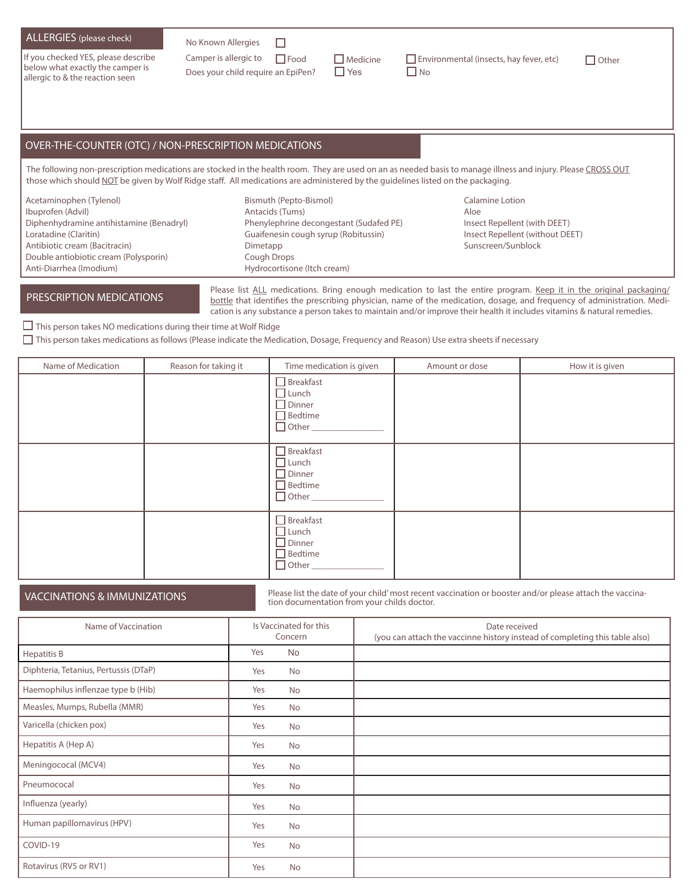### ALLERGIES (please check) No Known Allergies

If you checked YES, please describe below what exactly the camper is allergic to & the reaction seen

 $\Box$ Does your child require an EpiPen?  $\Box$  Yes  $\Box$  No

Camper is allergic to  $\Box$  Food  $\Box$  Medicine  $\Box$  Environmental (insects, hay fever, etc)  $\Box$  Other

## **MEDICATIONS** OVER-THE-COUNTER (OTC) / NON-PRESCRIPTION MEDICATIONS

The following non-prescription medications are stocked in the health room. They are used on an as needed basis to manage illness and injury. Please CROSS OUT those which should NOT be given by Wolf Ridge staff. All medications are administered by the guidelines listed on the packaging.

Acetaminophen (Tylenol) Ibuprofen (Advil) Diphenhydramine antihistamine (Benadryl) Loratadine (Claritin) Antibiotic cream (Bacitracin) Double antiobiotic cream (Polysporin) Anti-Diarrhea (Imodium)

PRESCRIPTION MEDICATIONS

Bismuth (Pepto-Bismol) Antacids (Tums) Phenylephrine decongestant (Sudafed PE) Guaifenesin cough syrup (Robitussin) Dimetapp Cough Drops Hydrocortisone (Itch cream)

Calamine Lotion Aloe Insect Repellent (with DEET) Insect Repellent (without DEET) Sunscreen/Sunblock

Please list ALL medications. Bring enough medication to last the entire program. Keep it in the original packaging/ bottle that identifies the prescribing physician, name of the medication, dosage, and frequency of administration. Medication is any substance a person takes to maintain and/or improve their health it includes vitamins & natural remedies.

### $\Box$  This person takes NO medications during their time at Wolf Ridge

This person takes medications as follows (Please indicate the Medication, Dosage, Frequency and Reason) Use extra sheets if necessary

| Name of Medication | Reason for taking it | Time medication is given                                                              | Amount or dose | How it is given |
|--------------------|----------------------|---------------------------------------------------------------------------------------|----------------|-----------------|
|                    |                      | $\Box$ Breakfast<br>$\sqcap$ Lunch<br>$\Box$ Dinner<br>$\Box$ Bedtime<br>$\Box$ Other |                |                 |
|                    |                      | $\Box$ Breakfast<br>$\Box$ Lunch<br>$\Box$ Dinner<br>$\Box$ Bedtime<br>$\Box$ Other   |                |                 |
|                    |                      | $\Box$ Breakfast<br>$\Box$ Lunch<br>$\Box$ Dinner<br>$\Box$ Bedtime<br>$\Box$ Other   |                |                 |

VACCINATIONS & IMMUNIZATIONS **Please list the date of your child'** most recent vaccination or booster and/or please attach the vaccina-<br>tion documentation from your childs doctor.

| Name of Vaccination                   | Is Vaccinated for this<br>Concern | Date received<br>(you can attach the vaccinne history instead of completing this table also) |
|---------------------------------------|-----------------------------------|----------------------------------------------------------------------------------------------|
| <b>Hepatitis B</b>                    | Yes<br><b>No</b>                  |                                                                                              |
| Diphteria, Tetanius, Pertussis (DTaP) | <b>No</b><br>Yes                  |                                                                                              |
| Haemophilus inflenzae type b (Hib)    | Yes<br><b>No</b>                  |                                                                                              |
| Measles, Mumps, Rubella (MMR)         | Yes<br><b>No</b>                  |                                                                                              |
| Varicella (chicken pox)               | Yes<br><b>No</b>                  |                                                                                              |
| Hepatitis A (Hep A)                   | Yes<br><b>No</b>                  |                                                                                              |
| Meningococal (MCV4)                   | Yes<br><b>No</b>                  |                                                                                              |
| Pneumococal                           | Yes<br><b>No</b>                  |                                                                                              |
| Influenza (yearly)                    | Yes<br>No                         |                                                                                              |
| Human papillomavirus (HPV)            | Yes<br><b>No</b>                  |                                                                                              |
| COVID-19                              | Yes<br><b>No</b>                  |                                                                                              |
| Rotavirus (RV5 or RV1)                | Yes<br><b>No</b>                  |                                                                                              |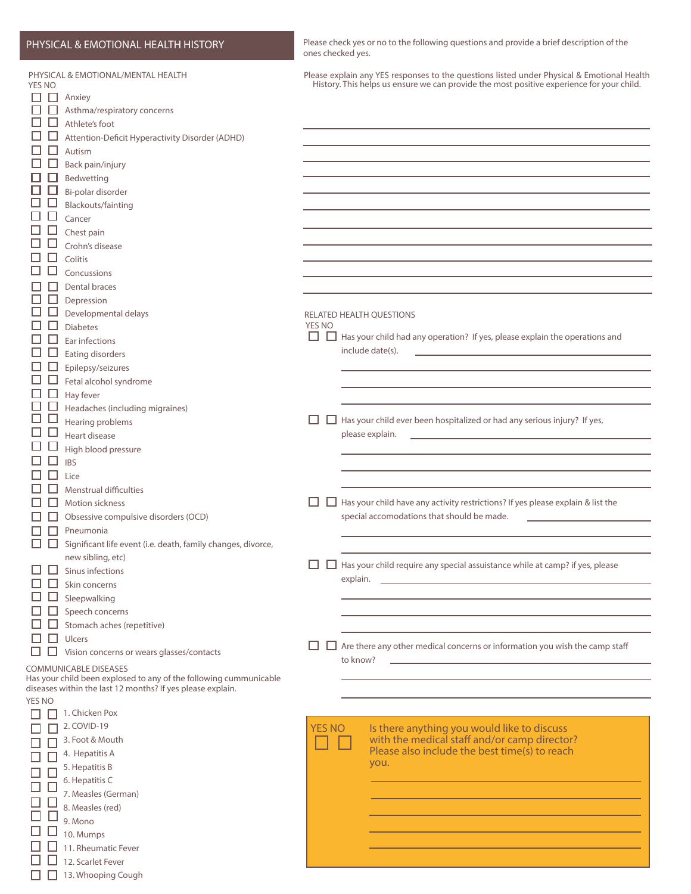# PHYSICAL & EMOTIONAL HEALTH HISTORY Please check yes or no to the following questions and provide a brief description of the

 $\Box$  $\Box$  $\Box$  $\Box$  $\Box$  $\Box$  $\Box$ Ō  $\Box$  $\Box$ 

| <b>YES NO</b><br>H<br>H<br>Ш | PHYSICAL & EMOTIONAL/MENTAL HEALTH<br>$\Box$ Anxiey<br>Asthma/respiratory concerns<br>Athlete's foot<br>Attention-Deficit Hyperactivity Disorder (ADHD)<br>Autism<br>Back pain/injury<br>Bedwetting<br>Bi-polar disorder<br>Blackouts/fainting<br>Cancer<br>Chest pain<br>Crohn's disease<br>Colitis<br>Concussions |                    |               |                  | Please explain any YES responses to the questions listed under Physical & Emotional Health<br>History. This helps us ensure we can provide the most positive experience for your child.                                              |
|------------------------------|---------------------------------------------------------------------------------------------------------------------------------------------------------------------------------------------------------------------------------------------------------------------------------------------------------------------|--------------------|---------------|------------------|--------------------------------------------------------------------------------------------------------------------------------------------------------------------------------------------------------------------------------------|
|                              | <b>Dental braces</b>                                                                                                                                                                                                                                                                                                |                    |               |                  |                                                                                                                                                                                                                                      |
|                              | Depression                                                                                                                                                                                                                                                                                                          |                    |               |                  |                                                                                                                                                                                                                                      |
|                              | Developmental delays                                                                                                                                                                                                                                                                                                |                    |               |                  | RELATED HEALTH QUESTIONS                                                                                                                                                                                                             |
|                              | <b>Diabetes</b>                                                                                                                                                                                                                                                                                                     | <b>YES NO</b><br>ш |               |                  | Has your child had any operation? If yes, please explain the operations and                                                                                                                                                          |
|                              | Ear infections                                                                                                                                                                                                                                                                                                      |                    |               | include date(s). | the control of the control of the control of the control of the control of                                                                                                                                                           |
|                              | Eating disorders<br>Epilepsy/seizures                                                                                                                                                                                                                                                                               |                    |               |                  |                                                                                                                                                                                                                                      |
|                              | Fetal alcohol syndrome                                                                                                                                                                                                                                                                                              |                    |               |                  |                                                                                                                                                                                                                                      |
|                              | Hay fever                                                                                                                                                                                                                                                                                                           |                    |               |                  |                                                                                                                                                                                                                                      |
| H                            | Headaches (including migraines)                                                                                                                                                                                                                                                                                     |                    |               |                  |                                                                                                                                                                                                                                      |
|                              | Hearing problems                                                                                                                                                                                                                                                                                                    | ப                  | □             |                  | Has your child ever been hospitalized or had any serious injury? If yes,                                                                                                                                                             |
|                              | Heart disease                                                                                                                                                                                                                                                                                                       |                    |               | please explain.  | <u>and the state of the state of the state of the state of the state of the state of the state of the state of the state of the state of the state of the state of the state of the state of the state of the state of the state</u> |
|                              | High blood pressure                                                                                                                                                                                                                                                                                                 |                    |               |                  |                                                                                                                                                                                                                                      |
|                              | <b>IBS</b>                                                                                                                                                                                                                                                                                                          |                    |               |                  |                                                                                                                                                                                                                                      |
|                              | Lice                                                                                                                                                                                                                                                                                                                |                    |               |                  |                                                                                                                                                                                                                                      |
|                              | <b>Menstrual difficulties</b>                                                                                                                                                                                                                                                                                       |                    |               |                  |                                                                                                                                                                                                                                      |
|                              | Motion sickness                                                                                                                                                                                                                                                                                                     | ப                  |               |                  | Has your child have any activity restrictions? If yes please explain & list the<br>special accomodations that should be made.                                                                                                        |
|                              | Obsessive compulsive disorders (OCD)<br>Pneumonia                                                                                                                                                                                                                                                                   |                    |               |                  |                                                                                                                                                                                                                                      |
| H<br>H                       | Significant life event (i.e. death, family changes, divorce,                                                                                                                                                                                                                                                        |                    |               |                  |                                                                                                                                                                                                                                      |
|                              | new sibling, etc)                                                                                                                                                                                                                                                                                                   |                    |               |                  |                                                                                                                                                                                                                                      |
|                              | $\Box$ Sinus infections                                                                                                                                                                                                                                                                                             | ப                  |               |                  | $\Box$ Has your child require any special assuistance while at camp? if yes, please                                                                                                                                                  |
|                              | $\Box$ Skin concerns                                                                                                                                                                                                                                                                                                |                    |               | explain.         |                                                                                                                                                                                                                                      |
|                              | Sleepwalking                                                                                                                                                                                                                                                                                                        |                    |               |                  |                                                                                                                                                                                                                                      |
|                              | Speech concerns                                                                                                                                                                                                                                                                                                     |                    |               |                  |                                                                                                                                                                                                                                      |
|                              | Stomach aches (repetitive)                                                                                                                                                                                                                                                                                          |                    |               |                  |                                                                                                                                                                                                                                      |
|                              | Ulcers                                                                                                                                                                                                                                                                                                              | ப                  |               |                  | $\Box$ Are there any other medical concerns or information you wish the camp staff                                                                                                                                                   |
|                              | Vision concerns or wears glasses/contacts                                                                                                                                                                                                                                                                           |                    |               | to know?         |                                                                                                                                                                                                                                      |
|                              | <b>COMMUNICABLE DISEASES</b>                                                                                                                                                                                                                                                                                        |                    |               |                  |                                                                                                                                                                                                                                      |
|                              | Has your child been explosed to any of the following cummunicable<br>diseases within the last 12 months? If yes please explain.                                                                                                                                                                                     |                    |               |                  |                                                                                                                                                                                                                                      |
| <b>YES NO</b>                |                                                                                                                                                                                                                                                                                                                     |                    |               |                  |                                                                                                                                                                                                                                      |
|                              | 1. Chicken Pox                                                                                                                                                                                                                                                                                                      |                    |               |                  |                                                                                                                                                                                                                                      |
|                              | 2. COVID-19                                                                                                                                                                                                                                                                                                         |                    | <b>YES NO</b> |                  | Is there anything you would like to discuss                                                                                                                                                                                          |
|                              | 3. Foot & Mouth                                                                                                                                                                                                                                                                                                     |                    |               |                  | with the medical staff and/or camp director?<br>Please also include the best time(s) to reach                                                                                                                                        |
|                              | 4. Hepatitis A                                                                                                                                                                                                                                                                                                      |                    |               |                  | you.                                                                                                                                                                                                                                 |
|                              | 5. Hepatitis B<br>6. Hepatitis C                                                                                                                                                                                                                                                                                    |                    |               |                  |                                                                                                                                                                                                                                      |
|                              | 7. Measles (German)                                                                                                                                                                                                                                                                                                 |                    |               |                  |                                                                                                                                                                                                                                      |
|                              | 8. Measles (red)                                                                                                                                                                                                                                                                                                    |                    |               |                  |                                                                                                                                                                                                                                      |
|                              | 9. Mono                                                                                                                                                                                                                                                                                                             |                    |               |                  |                                                                                                                                                                                                                                      |
|                              | 10. Mumps                                                                                                                                                                                                                                                                                                           |                    |               |                  |                                                                                                                                                                                                                                      |

ones checked yes.

 $\Box$ 12. Scarlet Fever  $\Box$  13. Whooping Cough

 $\Box$  11. Rheumatic Fever